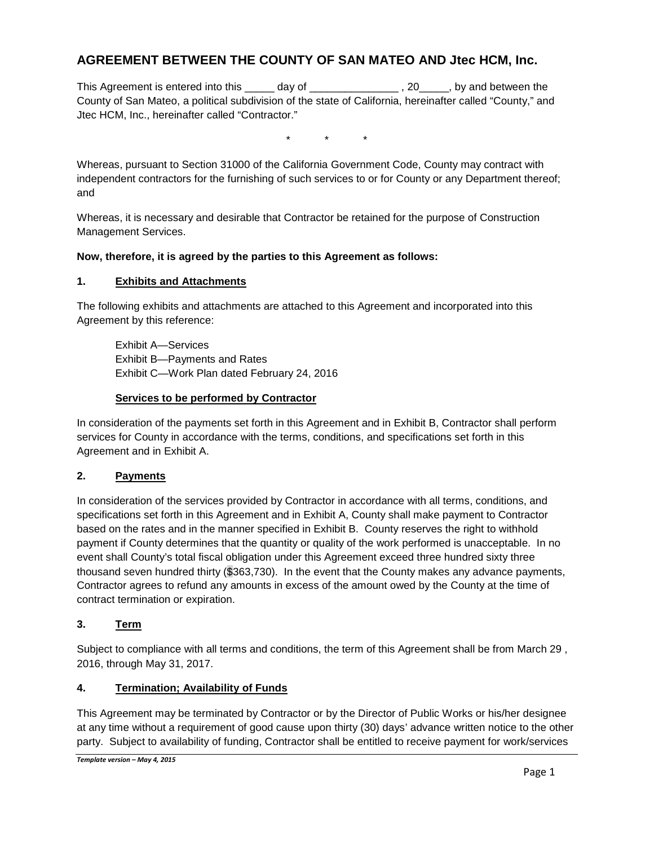# **AGREEMENT BETWEEN THE COUNTY OF SAN MATEO AND Jtec HCM, Inc.**

This Agreement is entered into this \_\_\_\_\_ day of \_\_\_\_\_\_\_\_\_\_\_\_\_\_\_\_\_\_\_, 20\_\_\_\_\_\_, by and between the County of San Mateo, a political subdivision of the state of California, hereinafter called "County," and Jtec HCM, Inc., hereinafter called "Contractor."

\* \* \*

Whereas, pursuant to Section 31000 of the California Government Code, County may contract with independent contractors for the furnishing of such services to or for County or any Department thereof; and

Whereas, it is necessary and desirable that Contractor be retained for the purpose of Construction Management Services.

#### **Now, therefore, it is agreed by the parties to this Agreement as follows:**

#### **1. Exhibits and Attachments**

The following exhibits and attachments are attached to this Agreement and incorporated into this Agreement by this reference:

Exhibit A—Services Exhibit B—Payments and Rates Exhibit C—Work Plan dated February 24, 2016

#### **Services to be performed by Contractor**

In consideration of the payments set forth in this Agreement and in Exhibit B, Contractor shall perform services for County in accordance with the terms, conditions, and specifications set forth in this Agreement and in Exhibit A.

## **2. Payments**

In consideration of the services provided by Contractor in accordance with all terms, conditions, and specifications set forth in this Agreement and in Exhibit A, County shall make payment to Contractor based on the rates and in the manner specified in Exhibit B. County reserves the right to withhold payment if County determines that the quantity or quality of the work performed is unacceptable. In no event shall County's total fiscal obligation under this Agreement exceed three hundred sixty three thousand seven hundred thirty (\$363,730). In the event that the County makes any advance payments, Contractor agrees to refund any amounts in excess of the amount owed by the County at the time of contract termination or expiration.

## **3. Term**

Subject to compliance with all terms and conditions, the term of this Agreement shall be from March 29 , 2016, through May 31, 2017.

## **4. Termination; Availability of Funds**

This Agreement may be terminated by Contractor or by the Director of Public Works or his/her designee at any time without a requirement of good cause upon thirty (30) days' advance written notice to the other party. Subject to availability of funding, Contractor shall be entitled to receive payment for work/services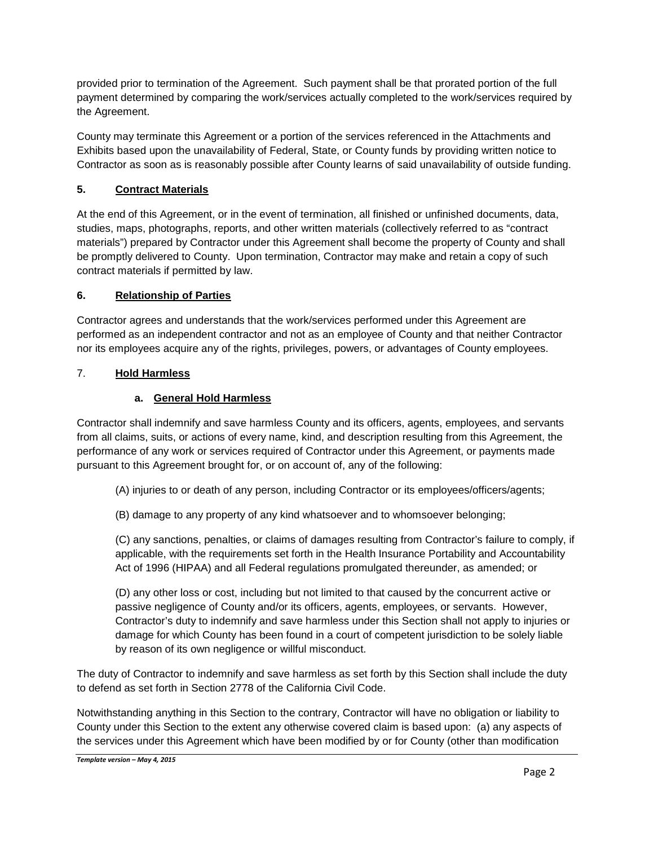provided prior to termination of the Agreement. Such payment shall be that prorated portion of the full payment determined by comparing the work/services actually completed to the work/services required by the Agreement.

County may terminate this Agreement or a portion of the services referenced in the Attachments and Exhibits based upon the unavailability of Federal, State, or County funds by providing written notice to Contractor as soon as is reasonably possible after County learns of said unavailability of outside funding.

# **5. Contract Materials**

At the end of this Agreement, or in the event of termination, all finished or unfinished documents, data, studies, maps, photographs, reports, and other written materials (collectively referred to as "contract materials") prepared by Contractor under this Agreement shall become the property of County and shall be promptly delivered to County. Upon termination, Contractor may make and retain a copy of such contract materials if permitted by law.

## **6. Relationship of Parties**

Contractor agrees and understands that the work/services performed under this Agreement are performed as an independent contractor and not as an employee of County and that neither Contractor nor its employees acquire any of the rights, privileges, powers, or advantages of County employees.

## 7. **Hold Harmless**

#### **a. General Hold Harmless**

Contractor shall indemnify and save harmless County and its officers, agents, employees, and servants from all claims, suits, or actions of every name, kind, and description resulting from this Agreement, the performance of any work or services required of Contractor under this Agreement, or payments made pursuant to this Agreement brought for, or on account of, any of the following:

- (A) injuries to or death of any person, including Contractor or its employees/officers/agents;
- (B) damage to any property of any kind whatsoever and to whomsoever belonging;

(C) any sanctions, penalties, or claims of damages resulting from Contractor's failure to comply, if applicable, with the requirements set forth in the Health Insurance Portability and Accountability Act of 1996 (HIPAA) and all Federal regulations promulgated thereunder, as amended; or

(D) any other loss or cost, including but not limited to that caused by the concurrent active or passive negligence of County and/or its officers, agents, employees, or servants. However, Contractor's duty to indemnify and save harmless under this Section shall not apply to injuries or damage for which County has been found in a court of competent jurisdiction to be solely liable by reason of its own negligence or willful misconduct.

The duty of Contractor to indemnify and save harmless as set forth by this Section shall include the duty to defend as set forth in Section 2778 of the California Civil Code.

Notwithstanding anything in this Section to the contrary, Contractor will have no obligation or liability to County under this Section to the extent any otherwise covered claim is based upon: (a) any aspects of the services under this Agreement which have been modified by or for County (other than modification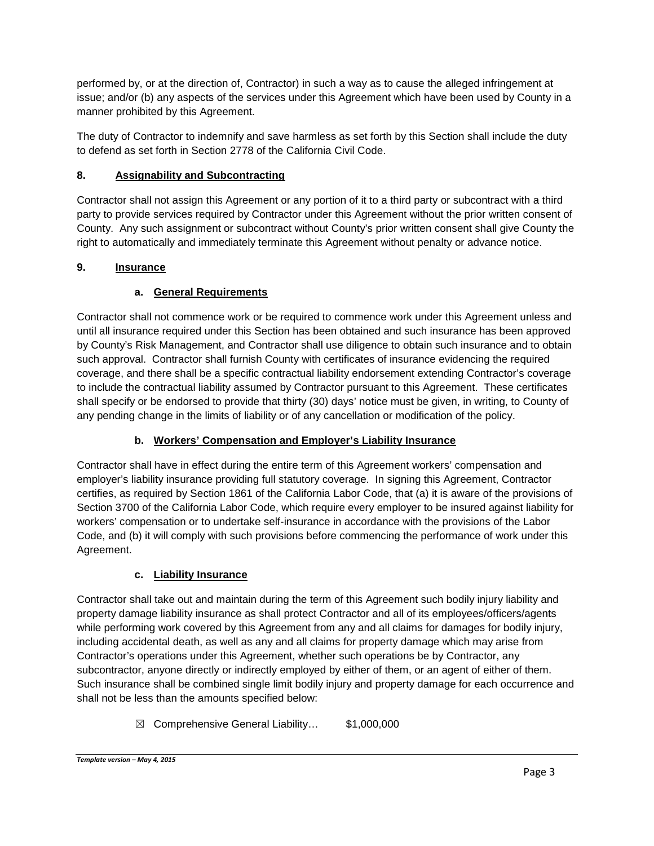performed by, or at the direction of, Contractor) in such a way as to cause the alleged infringement at issue; and/or (b) any aspects of the services under this Agreement which have been used by County in a manner prohibited by this Agreement.

The duty of Contractor to indemnify and save harmless as set forth by this Section shall include the duty to defend as set forth in Section 2778 of the California Civil Code.

# **8. Assignability and Subcontracting**

Contractor shall not assign this Agreement or any portion of it to a third party or subcontract with a third party to provide services required by Contractor under this Agreement without the prior written consent of County. Any such assignment or subcontract without County's prior written consent shall give County the right to automatically and immediately terminate this Agreement without penalty or advance notice.

## **9. Insurance**

# **a. General Requirements**

Contractor shall not commence work or be required to commence work under this Agreement unless and until all insurance required under this Section has been obtained and such insurance has been approved by County's Risk Management, and Contractor shall use diligence to obtain such insurance and to obtain such approval. Contractor shall furnish County with certificates of insurance evidencing the required coverage, and there shall be a specific contractual liability endorsement extending Contractor's coverage to include the contractual liability assumed by Contractor pursuant to this Agreement. These certificates shall specify or be endorsed to provide that thirty (30) days' notice must be given, in writing, to County of any pending change in the limits of liability or of any cancellation or modification of the policy.

# **b. Workers' Compensation and Employer's Liability Insurance**

Contractor shall have in effect during the entire term of this Agreement workers' compensation and employer's liability insurance providing full statutory coverage. In signing this Agreement, Contractor certifies, as required by Section 1861 of the California Labor Code, that (a) it is aware of the provisions of Section 3700 of the California Labor Code, which require every employer to be insured against liability for workers' compensation or to undertake self-insurance in accordance with the provisions of the Labor Code, and (b) it will comply with such provisions before commencing the performance of work under this Agreement.

## **c. Liability Insurance**

Contractor shall take out and maintain during the term of this Agreement such bodily injury liability and property damage liability insurance as shall protect Contractor and all of its employees/officers/agents while performing work covered by this Agreement from any and all claims for damages for bodily injury, including accidental death, as well as any and all claims for property damage which may arise from Contractor's operations under this Agreement, whether such operations be by Contractor, any subcontractor, anyone directly or indirectly employed by either of them, or an agent of either of them. Such insurance shall be combined single limit bodily injury and property damage for each occurrence and shall not be less than the amounts specified below:

☒ Comprehensive General Liability… \$1,000,000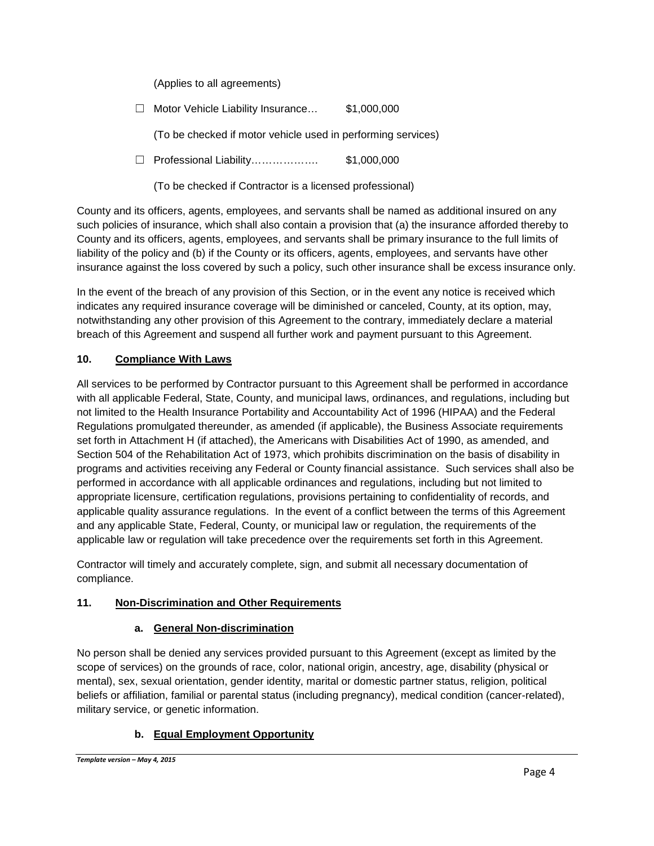(Applies to all agreements)

☐ Motor Vehicle Liability Insurance… \$1,000,000

(To be checked if motor vehicle used in performing services)

☐ Professional Liability………………. \$1,000,000

(To be checked if Contractor is a licensed professional)

County and its officers, agents, employees, and servants shall be named as additional insured on any such policies of insurance, which shall also contain a provision that (a) the insurance afforded thereby to County and its officers, agents, employees, and servants shall be primary insurance to the full limits of liability of the policy and (b) if the County or its officers, agents, employees, and servants have other insurance against the loss covered by such a policy, such other insurance shall be excess insurance only.

In the event of the breach of any provision of this Section, or in the event any notice is received which indicates any required insurance coverage will be diminished or canceled, County, at its option, may, notwithstanding any other provision of this Agreement to the contrary, immediately declare a material breach of this Agreement and suspend all further work and payment pursuant to this Agreement.

# **10. Compliance With Laws**

All services to be performed by Contractor pursuant to this Agreement shall be performed in accordance with all applicable Federal, State, County, and municipal laws, ordinances, and regulations, including but not limited to the Health Insurance Portability and Accountability Act of 1996 (HIPAA) and the Federal Regulations promulgated thereunder, as amended (if applicable), the Business Associate requirements set forth in Attachment H (if attached), the Americans with Disabilities Act of 1990, as amended, and Section 504 of the Rehabilitation Act of 1973, which prohibits discrimination on the basis of disability in programs and activities receiving any Federal or County financial assistance. Such services shall also be performed in accordance with all applicable ordinances and regulations, including but not limited to appropriate licensure, certification regulations, provisions pertaining to confidentiality of records, and applicable quality assurance regulations. In the event of a conflict between the terms of this Agreement and any applicable State, Federal, County, or municipal law or regulation, the requirements of the applicable law or regulation will take precedence over the requirements set forth in this Agreement.

Contractor will timely and accurately complete, sign, and submit all necessary documentation of compliance.

## **11. Non-Discrimination and Other Requirements**

## **a. General Non-discrimination**

No person shall be denied any services provided pursuant to this Agreement (except as limited by the scope of services) on the grounds of race, color, national origin, ancestry, age, disability (physical or mental), sex, sexual orientation, gender identity, marital or domestic partner status, religion, political beliefs or affiliation, familial or parental status (including pregnancy), medical condition (cancer-related), military service, or genetic information.

# **b. Equal Employment Opportunity**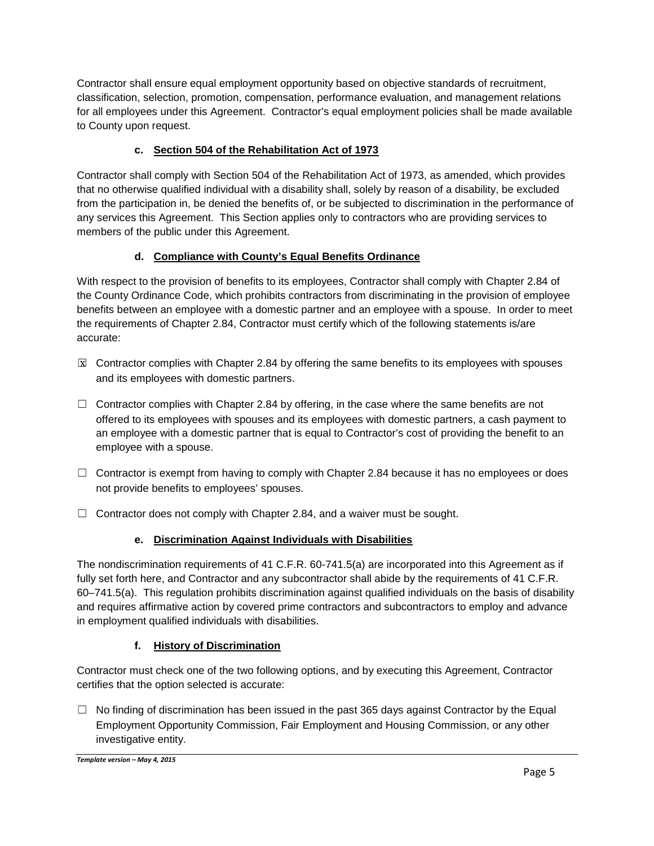Contractor shall ensure equal employment opportunity based on objective standards of recruitment, classification, selection, promotion, compensation, performance evaluation, and management relations for all employees under this Agreement. Contractor's equal employment policies shall be made available to County upon request.

# **c. Section 504 of the Rehabilitation Act of 1973**

Contractor shall comply with Section 504 of the Rehabilitation Act of 1973, as amended, which provides that no otherwise qualified individual with a disability shall, solely by reason of a disability, be excluded from the participation in, be denied the benefits of, or be subjected to discrimination in the performance of any services this Agreement. This Section applies only to contractors who are providing services to members of the public under this Agreement.

## **d. Compliance with County's Equal Benefits Ordinance**

With respect to the provision of benefits to its employees, Contractor shall comply with Chapter 2.84 of the County Ordinance Code, which prohibits contractors from discriminating in the provision of employee benefits between an employee with a domestic partner and an employee with a spouse. In order to meet the requirements of Chapter 2.84, Contractor must certify which of the following statements is/are accurate:

- $\boxtimes$  Contractor complies with Chapter 2.84 by offering the same benefits to its employees with spouses and its employees with domestic partners.
- $\Box$  Contractor complies with Chapter 2.84 by offering, in the case where the same benefits are not offered to its employees with spouses and its employees with domestic partners, a cash payment to an employee with a domestic partner that is equal to Contractor's cost of providing the benefit to an employee with a spouse.
- $\Box$  Contractor is exempt from having to comply with Chapter 2.84 because it has no employees or does not provide benefits to employees' spouses.
- $\Box$  Contractor does not comply with Chapter 2.84, and a waiver must be sought.

## **e. Discrimination Against Individuals with Disabilities**

The nondiscrimination requirements of 41 C.F.R. 60-741.5(a) are incorporated into this Agreement as if fully set forth here, and Contractor and any subcontractor shall abide by the requirements of 41 C.F.R. 60–741.5(a). This regulation prohibits discrimination against qualified individuals on the basis of disability and requires affirmative action by covered prime contractors and subcontractors to employ and advance in employment qualified individuals with disabilities.

## **f. History of Discrimination**

Contractor must check one of the two following options, and by executing this Agreement, Contractor certifies that the option selected is accurate:

 $\Box$  No finding of discrimination has been issued in the past 365 days against Contractor by the Equal Employment Opportunity Commission, Fair Employment and Housing Commission, or any other investigative entity.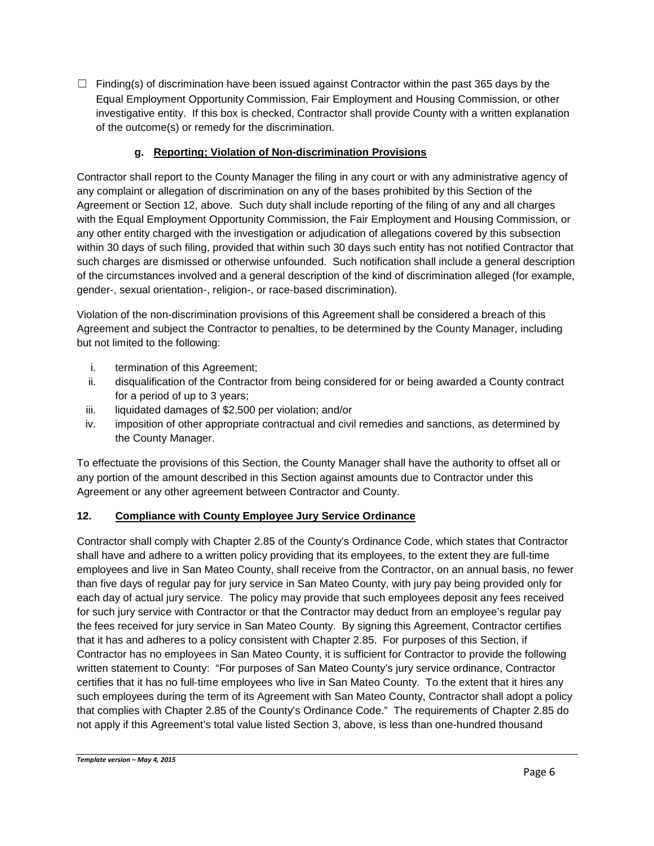$\Box$  Finding(s) of discrimination have been issued against Contractor within the past 365 days by the Equal Employment Opportunity Commission, Fair Employment and Housing Commission, or other investigative entity. If this box is checked, Contractor shall provide County with a written explanation of the outcome(s) or remedy for the discrimination.

## **g. Reporting; Violation of Non-discrimination Provisions**

Contractor shall report to the County Manager the filing in any court or with any administrative agency of any complaint or allegation of discrimination on any of the bases prohibited by this Section of the Agreement or Section 12, above. Such duty shall include reporting of the filing of any and all charges with the Equal Employment Opportunity Commission, the Fair Employment and Housing Commission, or any other entity charged with the investigation or adjudication of allegations covered by this subsection within 30 days of such filing, provided that within such 30 days such entity has not notified Contractor that such charges are dismissed or otherwise unfounded. Such notification shall include a general description of the circumstances involved and a general description of the kind of discrimination alleged (for example, gender-, sexual orientation-, religion-, or race-based discrimination).

Violation of the non-discrimination provisions of this Agreement shall be considered a breach of this Agreement and subject the Contractor to penalties, to be determined by the County Manager, including but not limited to the following:

- i. termination of this Agreement;
- ii. disqualification of the Contractor from being considered for or being awarded a County contract for a period of up to 3 years;
- iii. liquidated damages of \$2,500 per violation; and/or
- iv. imposition of other appropriate contractual and civil remedies and sanctions, as determined by the County Manager.

To effectuate the provisions of this Section, the County Manager shall have the authority to offset all or any portion of the amount described in this Section against amounts due to Contractor under this Agreement or any other agreement between Contractor and County.

## **12. Compliance with County Employee Jury Service Ordinance**

Contractor shall comply with Chapter 2.85 of the County's Ordinance Code, which states that Contractor shall have and adhere to a written policy providing that its employees, to the extent they are full-time employees and live in San Mateo County, shall receive from the Contractor, on an annual basis, no fewer than five days of regular pay for jury service in San Mateo County, with jury pay being provided only for each day of actual jury service. The policy may provide that such employees deposit any fees received for such jury service with Contractor or that the Contractor may deduct from an employee's regular pay the fees received for jury service in San Mateo County. By signing this Agreement, Contractor certifies that it has and adheres to a policy consistent with Chapter 2.85. For purposes of this Section, if Contractor has no employees in San Mateo County, it is sufficient for Contractor to provide the following written statement to County: "For purposes of San Mateo County's jury service ordinance, Contractor certifies that it has no full-time employees who live in San Mateo County. To the extent that it hires any such employees during the term of its Agreement with San Mateo County, Contractor shall adopt a policy that complies with Chapter 2.85 of the County's Ordinance Code." The requirements of Chapter 2.85 do not apply if this Agreement's total value listed Section 3, above, is less than one-hundred thousand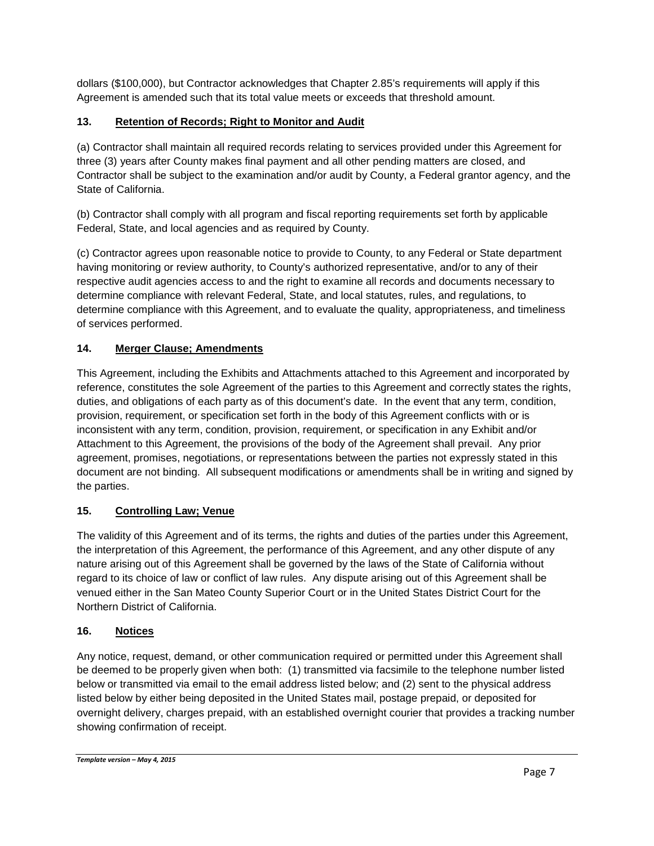dollars (\$100,000), but Contractor acknowledges that Chapter 2.85's requirements will apply if this Agreement is amended such that its total value meets or exceeds that threshold amount.

# **13. Retention of Records; Right to Monitor and Audit**

(a) Contractor shall maintain all required records relating to services provided under this Agreement for three (3) years after County makes final payment and all other pending matters are closed, and Contractor shall be subject to the examination and/or audit by County, a Federal grantor agency, and the State of California.

(b) Contractor shall comply with all program and fiscal reporting requirements set forth by applicable Federal, State, and local agencies and as required by County.

(c) Contractor agrees upon reasonable notice to provide to County, to any Federal or State department having monitoring or review authority, to County's authorized representative, and/or to any of their respective audit agencies access to and the right to examine all records and documents necessary to determine compliance with relevant Federal, State, and local statutes, rules, and regulations, to determine compliance with this Agreement, and to evaluate the quality, appropriateness, and timeliness of services performed.

# **14. Merger Clause; Amendments**

This Agreement, including the Exhibits and Attachments attached to this Agreement and incorporated by reference, constitutes the sole Agreement of the parties to this Agreement and correctly states the rights, duties, and obligations of each party as of this document's date. In the event that any term, condition, provision, requirement, or specification set forth in the body of this Agreement conflicts with or is inconsistent with any term, condition, provision, requirement, or specification in any Exhibit and/or Attachment to this Agreement, the provisions of the body of the Agreement shall prevail. Any prior agreement, promises, negotiations, or representations between the parties not expressly stated in this document are not binding. All subsequent modifications or amendments shall be in writing and signed by the parties.

## **15. Controlling Law; Venue**

The validity of this Agreement and of its terms, the rights and duties of the parties under this Agreement, the interpretation of this Agreement, the performance of this Agreement, and any other dispute of any nature arising out of this Agreement shall be governed by the laws of the State of California without regard to its choice of law or conflict of law rules. Any dispute arising out of this Agreement shall be venued either in the San Mateo County Superior Court or in the United States District Court for the Northern District of California.

## **16. Notices**

Any notice, request, demand, or other communication required or permitted under this Agreement shall be deemed to be properly given when both: (1) transmitted via facsimile to the telephone number listed below or transmitted via email to the email address listed below; and (2) sent to the physical address listed below by either being deposited in the United States mail, postage prepaid, or deposited for overnight delivery, charges prepaid, with an established overnight courier that provides a tracking number showing confirmation of receipt.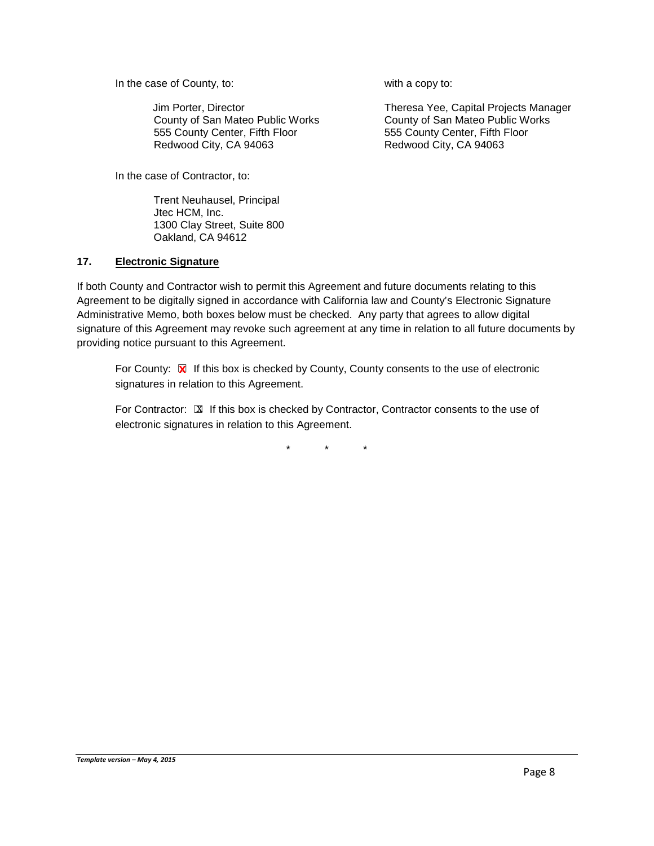In the case of County, to: with a copy to:

Jim Porter, Director County of San Mateo Public Works 555 County Center, Fifth Floor Redwood City, CA 94063

In the case of Contractor, to:

Trent Neuhausel, Principal Jtec HCM, Inc. 1300 Clay Street, Suite 800 Oakland, CA 94612

Theresa Yee, Capital Projects Manager County of San Mateo Public Works 555 County Center, Fifth Floor Redwood City, CA 94063

#### **17. Electronic Signature**

If both County and Contractor wish to permit this Agreement and future documents relating to this Agreement to be digitally signed in accordance with California law and County's Electronic Signature Administrative Memo, both boxes below must be checked. Any party that agrees to allow digital signature of this Agreement may revoke such agreement at any time in relation to all future documents by providing notice pursuant to this Agreement.

For County: **x** If this box is checked by County, County consents to the use of electronic signatures in relation to this Agreement.

For Contractor:  $\mathbb Z$  If this box is checked by Contractor, Contractor consents to the use of electronic signatures in relation to this Agreement.

\* \* \*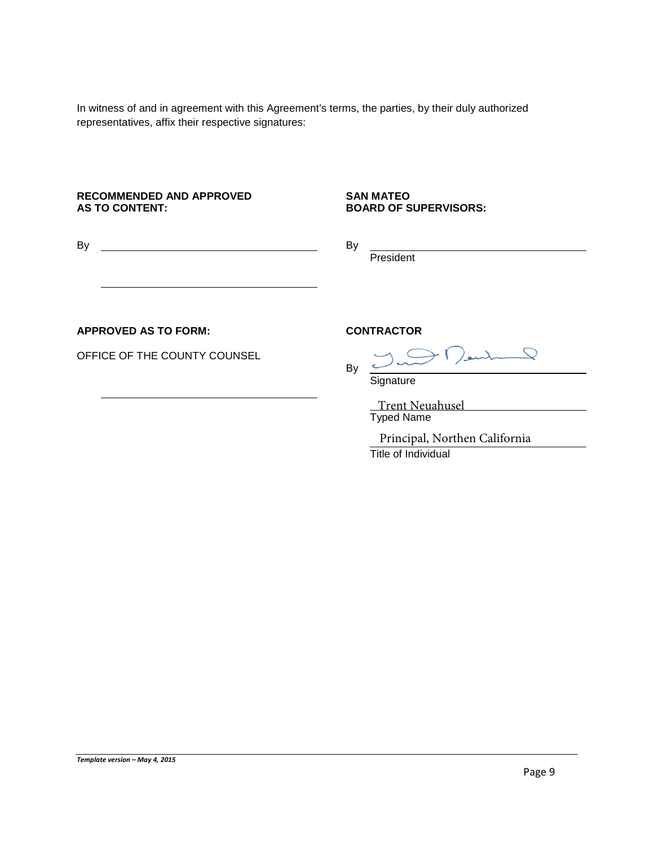In witness of and in agreement with this Agreement's terms, the parties, by their duly authorized representatives, affix their respective signatures:

#### **RECOMMENDED AND APPROVED AS TO CONTENT:**

#### **SAN MATEO BOARD OF SUPERVISORS:**

**President** 

By

By

#### **APPROVED AS TO FORM:**

OFFICE OF THE COUNTY COUNSEL

#### **CONTRACTOR**

**Signature** 

Typed Name Trent Neuahusel

Title of Individual Principal, Northen California

Plentil P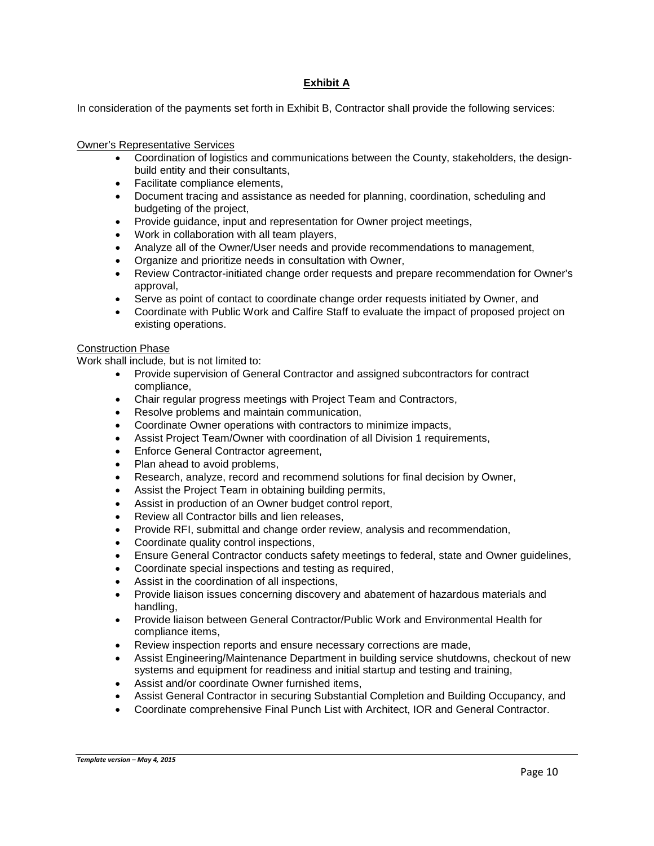#### **Exhibit A**

In consideration of the payments set forth in Exhibit B, Contractor shall provide the following services:

#### Owner's Representative Services

- Coordination of logistics and communications between the County, stakeholders, the designbuild entity and their consultants,
- Facilitate compliance elements,
- Document tracing and assistance as needed for planning, coordination, scheduling and budgeting of the project,
- Provide guidance, input and representation for Owner project meetings,
- Work in collaboration with all team players,
- Analyze all of the Owner/User needs and provide recommendations to management,
- Organize and prioritize needs in consultation with Owner,
- Review Contractor-initiated change order requests and prepare recommendation for Owner's approval,
- Serve as point of contact to coordinate change order requests initiated by Owner, and
- Coordinate with Public Work and Calfire Staff to evaluate the impact of proposed project on existing operations.

#### Construction Phase

Work shall include, but is not limited to:

- Provide supervision of General Contractor and assigned subcontractors for contract compliance,
- Chair regular progress meetings with Project Team and Contractors,
- Resolve problems and maintain communication,
- Coordinate Owner operations with contractors to minimize impacts,
- Assist Project Team/Owner with coordination of all Division 1 requirements,
- Enforce General Contractor agreement,
- Plan ahead to avoid problems,
- Research, analyze, record and recommend solutions for final decision by Owner,
- Assist the Project Team in obtaining building permits,
- Assist in production of an Owner budget control report,
- Review all Contractor bills and lien releases,
- Provide RFI, submittal and change order review, analysis and recommendation,
- Coordinate quality control inspections,
- Ensure General Contractor conducts safety meetings to federal, state and Owner guidelines,
- Coordinate special inspections and testing as required,
- Assist in the coordination of all inspections,
- Provide liaison issues concerning discovery and abatement of hazardous materials and handling,
- Provide liaison between General Contractor/Public Work and Environmental Health for compliance items,
- Review inspection reports and ensure necessary corrections are made,
- Assist Engineering/Maintenance Department in building service shutdowns, checkout of new systems and equipment for readiness and initial startup and testing and training,
- Assist and/or coordinate Owner furnished items,
- Assist General Contractor in securing Substantial Completion and Building Occupancy, and
- Coordinate comprehensive Final Punch List with Architect, IOR and General Contractor.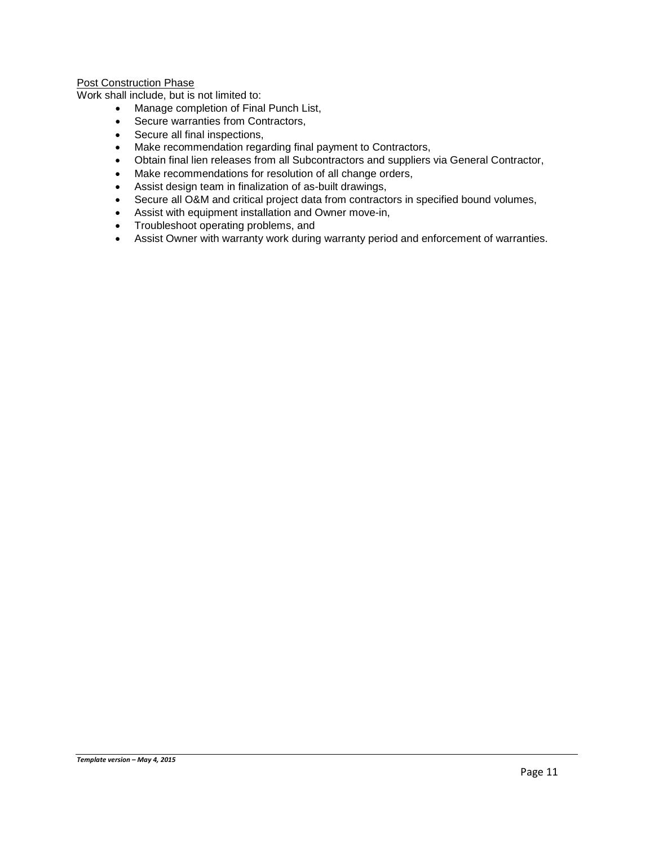#### Post Construction Phase

Work shall include, but is not limited to:

- Manage completion of Final Punch List,
- Secure warranties from Contractors,
- Secure all final inspections,
- Make recommendation regarding final payment to Contractors,
- Obtain final lien releases from all Subcontractors and suppliers via General Contractor,<br>• Make recommendations for resolution of all change orders.
- Make recommendations for resolution of all change orders,
- Assist design team in finalization of as-built drawings,
- Secure all O&M and critical project data from contractors in specified bound volumes,
- Assist with equipment installation and Owner move-in,
- Troubleshoot operating problems, and
- Assist Owner with warranty work during warranty period and enforcement of warranties.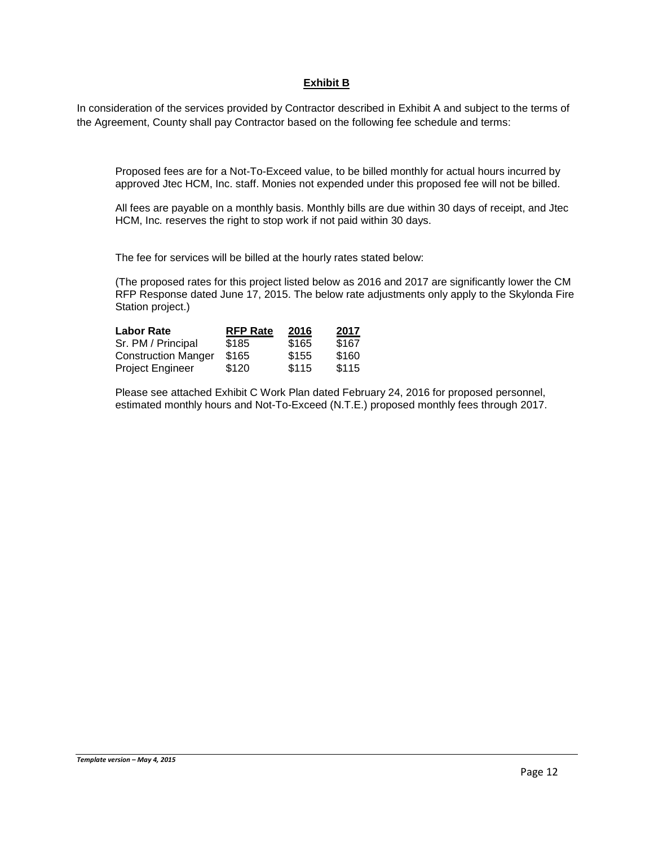#### **Exhibit B**

In consideration of the services provided by Contractor described in Exhibit A and subject to the terms of the Agreement, County shall pay Contractor based on the following fee schedule and terms:

Proposed fees are for a Not-To-Exceed value, to be billed monthly for actual hours incurred by approved Jtec HCM, Inc. staff. Monies not expended under this proposed fee will not be billed.

All fees are payable on a monthly basis. Monthly bills are due within 30 days of receipt, and Jtec HCM, Inc*.* reserves the right to stop work if not paid within 30 days.

The fee for services will be billed at the hourly rates stated below:

(The proposed rates for this project listed below as 2016 and 2017 are significantly lower the CM RFP Response dated June 17, 2015. The below rate adjustments only apply to the Skylonda Fire Station project.)

| <b>Labor Rate</b>          | <b>RFP Rate</b> | 2016  | 2017  |
|----------------------------|-----------------|-------|-------|
| Sr. PM / Principal         | \$185           | \$165 | \$167 |
| <b>Construction Manger</b> | \$165           | \$155 | \$160 |
| Project Engineer           | \$120           | \$115 | \$115 |

Please see attached Exhibit C Work Plan dated February 24, 2016 for proposed personnel, estimated monthly hours and Not-To-Exceed (N.T.E.) proposed monthly fees through 2017.